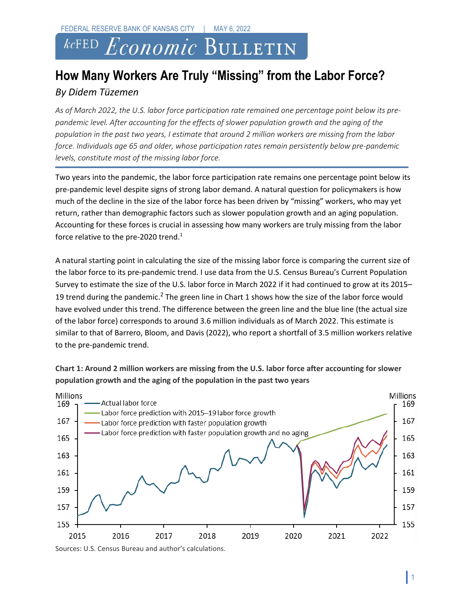## *Economic* BULLETIN  $kcFED$

## **How Many Workers Are Truly "Missing" from the Labor Force?** *By Didem Tüzemen*

*As of March 2022, the U.S. labor force participation rate remained one percentage point below its prepandemic level. After accounting for the effects of slower population growth and the aging of the population in the past two years, I estimate that around 2 million workers are missing from the labor force. Individuals age 65 and older, whose participation rates remain persistently below pre-pandemic levels, constitute most of the missing labor force.* 

Two years into the pandemic, the labor force participation rate remains one percentage point below its pre-pandemic level despite signs of strong labor demand. A natural question for policymakers is how much of the decline in the size of the labor force has been driven by "missing" workers, who may yet return, rather than demographic factors such as slower population growth and an aging population. Accounting for these forces is crucial in assessing how many workers are truly missing from the labor force relative to the pre-2020 trend.<sup>1</sup>

A natural starting point in calculating the size of the missing labor force is comparing the current size of the labor force to its pre-pandemic trend. I use data from the U.S. Census Bureau's Current Population Survey to estimate the size of the U.S. labor force in March 2022 if it had continued to grow at its 2015– 19 trend during the pandemic.<sup>2</sup> The green line in Chart 1 shows how the size of the labor force would have evolved under this trend. The difference between the green line and the blue line (the actual size of the labor force) corresponds to around 3.6 million individuals as of March 2022. This estimate is similar to that of Barrero, Bloom, and Davis (2022), who report a shortfall of 3.5 million workers relative to the pre-pandemic trend.





Sources: U.S. Census Bureau and author's calculations.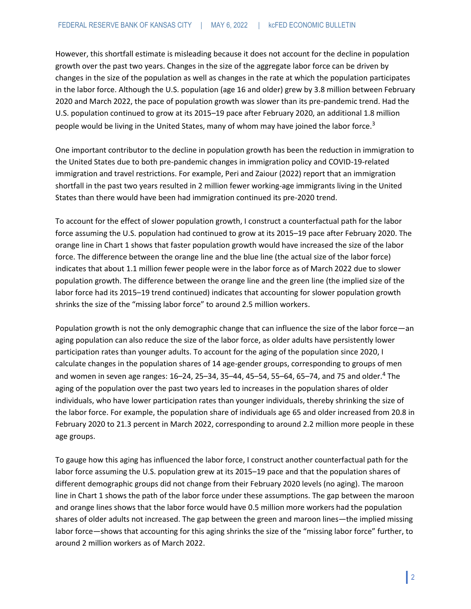However, this shortfall estimate is misleading because it does not account for the decline in population growth over the past two years. Changes in the size of the aggregate labor force can be driven by changes in the size of the population as well as changes in the rate at which the population participates in the labor force. Although the U.S. population (age 16 and older) grew by 3.8 million between February 2020 and March 2022, the pace of population growth was slower than its pre-pandemic trend. Had the U.S. population continued to grow at its 2015–19 pace after February 2020, an additional 1.8 million people would be living in the United States, many of whom may have joined the labor force.<sup>3</sup>

One important contributor to the decline in population growth has been the reduction in immigration to the United States due to both pre-pandemic changes in immigration policy and COVID-19-related immigration and travel restrictions. For example, Peri and Zaiour (2022) report that an immigration shortfall in the past two years resulted in 2 million fewer working-age immigrants living in the United States than there would have been had immigration continued its pre-2020 trend.

To account for the effect of slower population growth, I construct a counterfactual path for the labor force assuming the U.S. population had continued to grow at its 2015–19 pace after February 2020. The orange line in Chart 1 shows that faster population growth would have increased the size of the labor force. The difference between the orange line and the blue line (the actual size of the labor force) indicates that about 1.1 million fewer people were in the labor force as of March 2022 due to slower population growth. The difference between the orange line and the green line (the implied size of the labor force had its 2015–19 trend continued) indicates that accounting for slower population growth shrinks the size of the "missing labor force" to around 2.5 million workers.

Population growth is not the only demographic change that can influence the size of the labor force—an aging population can also reduce the size of the labor force, as older adults have persistently lower participation rates than younger adults. To account for the aging of the population since 2020, I calculate changes in the population shares of 14 age-gender groups, corresponding to groups of men and women in seven age ranges: 16-24, 25-34, 35-44, 45-54, 55-64, 65-74, and 75 and older.<sup>4</sup> The aging of the population over the past two years led to increases in the population shares of older individuals, who have lower participation rates than younger individuals, thereby shrinking the size of the labor force. For example, the population share of individuals age 65 and older increased from 20.8 in February 2020 to 21.3 percent in March 2022, corresponding to around 2.2 million more people in these age groups.

To gauge how this aging has influenced the labor force, I construct another counterfactual path for the labor force assuming the U.S. population grew at its 2015–19 pace and that the population shares of different demographic groups did not change from their February 2020 levels (no aging). The maroon line in Chart 1 shows the path of the labor force under these assumptions. The gap between the maroon and orange lines shows that the labor force would have 0.5 million more workers had the population shares of older adults not increased. The gap between the green and maroon lines—the implied missing labor force—shows that accounting for this aging shrinks the size of the "missing labor force" further, to around 2 million workers as of March 2022.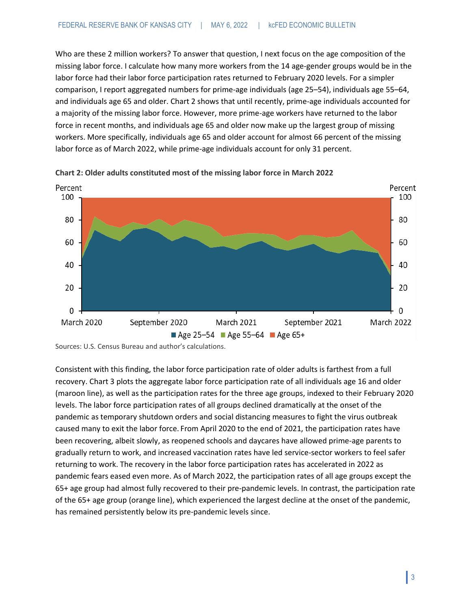Who are these 2 million workers? To answer that question, I next focus on the age composition of the missing labor force. I calculate how many more workers from the 14 age-gender groups would be in the labor force had their labor force participation rates returned to February 2020 levels. For a simpler comparison, I report aggregated numbers for prime-age individuals (age 25–54), individuals age 55–64, and individuals age 65 and older. Chart 2 shows that until recently, prime-age individuals accounted for a majority of the missing labor force. However, more prime-age workers have returned to the labor force in recent months, and individuals age 65 and older now make up the largest group of missing workers. More specifically, individuals age 65 and older account for almost 66 percent of the missing labor force as of March 2022, while prime-age individuals account for only 31 percent.





Consistent with this finding, the labor force participation rate of older adults is farthest from a full recovery. Chart 3 plots the aggregate labor force participation rate of all individuals age 16 and older (maroon line), as well as the participation rates for the three age groups, indexed to their February 2020 levels. The labor force participation rates of all groups declined dramatically at the onset of the pandemic as temporary shutdown orders and social distancing measures to fight the virus outbreak caused many to exit the labor force. From April 2020 to the end of 2021, the participation rates have been recovering, albeit slowly, as reopened schools and daycares have allowed prime-age parents to gradually return to work, and increased vaccination rates have led service-sector workers to feel safer returning to work. The recovery in the labor force participation rates has accelerated in 2022 as pandemic fears eased even more. As of March 2022, the participation rates of all age groups except the 65+ age group had almost fully recovered to their pre-pandemic levels. In contrast, the participation rate of the 65+ age group (orange line), which experienced the largest decline at the onset of the pandemic, has remained persistently below its pre-pandemic levels since.

Sources: U.S. Census Bureau and author's calculations.